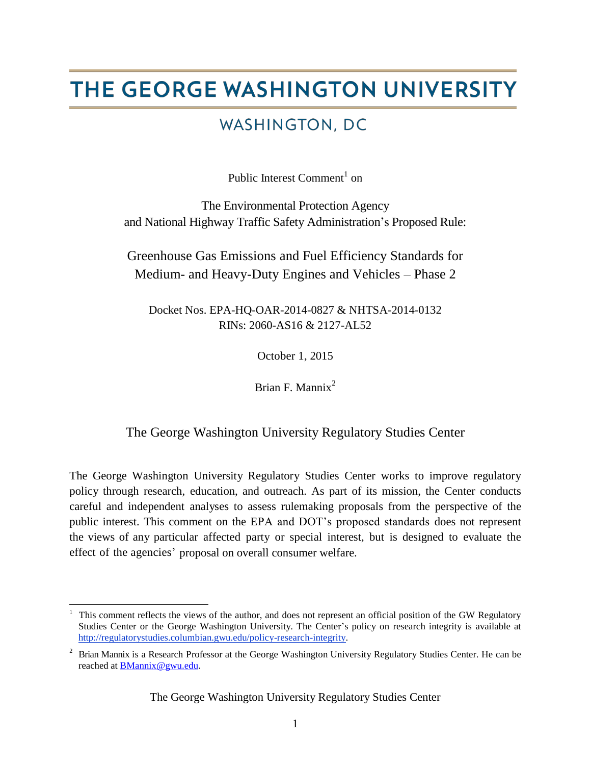# THE GEORGE WASHINGTON UNIVERSITY

# WASHINGTON, DC

Public Interest Comment<sup>1</sup> on

The Environmental Protection Agency and National Highway Traffic Safety Administration's Proposed Rule:

Greenhouse Gas Emissions and Fuel Efficiency Standards for Medium- and Heavy-Duty Engines and Vehicles – Phase 2

Docket Nos. EPA-HQ-OAR-2014-0827 & NHTSA-2014-0132 RINs: 2060-AS16 & 2127-AL52

October 1, 2015

Brian F. Mannix<sup>2</sup>

# The George Washington University Regulatory Studies Center

The George Washington University Regulatory Studies Center works to improve regulatory policy through research, education, and outreach. As part of its mission, the Center conducts careful and independent analyses to assess rulemaking proposals from the perspective of the public interest. This comment on the EPA and DOT's proposed standards does not represent the views of any particular affected party or special interest, but is designed to evaluate the effect of the agencies' proposal on overall consumer welfare.

 $\overline{\phantom{a}}$ <sup>1</sup> This comment reflects the views of the author, and does not represent an official position of the GW Regulatory Studies Center or the George Washington University. The Center's policy on research integrity is available at [http://regulatorystudies.columbian.gwu.edu/policy-research-integrity.](http://regulatorystudies.columbian.gwu.edu/policy-research-integrity)

<sup>2</sup> Brian Mannix is a Research Professor at the George Washington University Regulatory Studies Center. He can be reached at [BMannix@gwu.edu.](mailto:BMannix@gwu.edu)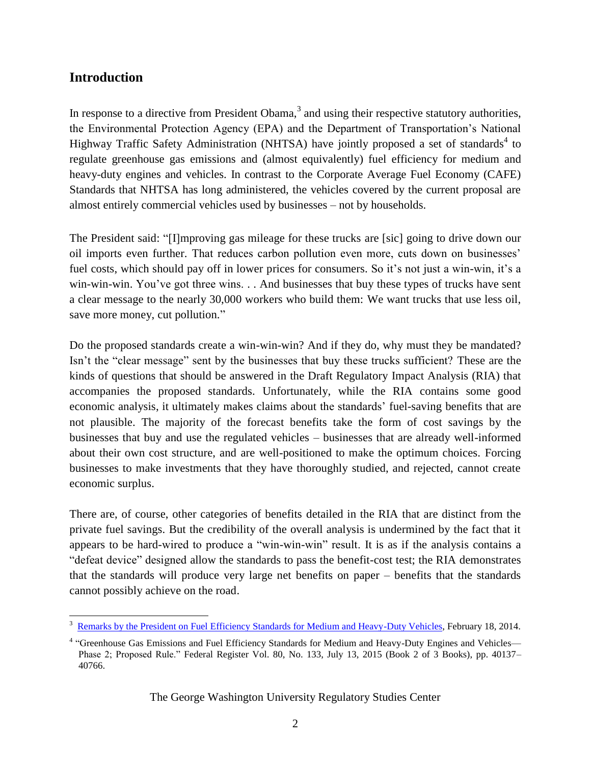### **Introduction**

In response to a directive from President Obama, $3$  and using their respective statutory authorities, the Environmental Protection Agency (EPA) and the Department of Transportation's National Highway Traffic Safety Administration (NHTSA) have jointly proposed a set of standards<sup>4</sup> to regulate greenhouse gas emissions and (almost equivalently) fuel efficiency for medium and heavy-duty engines and vehicles. In contrast to the Corporate Average Fuel Economy (CAFE) Standards that NHTSA has long administered, the vehicles covered by the current proposal are almost entirely commercial vehicles used by businesses – not by households.

The President said: "[I]mproving gas mileage for these trucks are [sic] going to drive down our oil imports even further. That reduces carbon pollution even more, cuts down on businesses' fuel costs, which should pay off in lower prices for consumers. So it's not just a win-win, it's a win-win-win. You've got three wins. . . And businesses that buy these types of trucks have sent a clear message to the nearly 30,000 workers who build them: We want trucks that use less oil, save more money, cut pollution."

Do the proposed standards create a win-win-win? And if they do, why must they be mandated? Isn't the "clear message" sent by the businesses that buy these trucks sufficient? These are the kinds of questions that should be answered in the Draft Regulatory Impact Analysis (RIA) that accompanies the proposed standards. Unfortunately, while the RIA contains some good economic analysis, it ultimately makes claims about the standards' fuel-saving benefits that are not plausible. The majority of the forecast benefits take the form of cost savings by the businesses that buy and use the regulated vehicles – businesses that are already well-informed about their own cost structure, and are well-positioned to make the optimum choices. Forcing businesses to make investments that they have thoroughly studied, and rejected, cannot create economic surplus.

There are, of course, other categories of benefits detailed in the RIA that are distinct from the private fuel savings. But the credibility of the overall analysis is undermined by the fact that it appears to be hard-wired to produce a "win-win-win" result. It is as if the analysis contains a "defeat device" designed allow the standards to pass the benefit-cost test; the RIA demonstrates that the standards will produce very large net benefits on paper – benefits that the standards cannot possibly achieve on the road.

 $\overline{\phantom{a}}$ <sup>3</sup> [Remarks by the President on Fuel Efficiency Standards for Medium and Heavy-Duty Vehicles,](https://www.whitehouse.gov/the-press-office/2014/02/18/remarks-president-fuel-efficiency-standards-medium-and-heavy-duty-vehicl) February 18, 2014.

<sup>&</sup>lt;sup>4</sup> "Greenhouse Gas Emissions and Fuel Efficiency Standards for Medium and Heavy-Duty Engines and Vehicles-Phase 2; Proposed Rule." Federal Register Vol. 80, No. 133, July 13, 2015 (Book 2 of 3 Books), pp. 40137– 40766.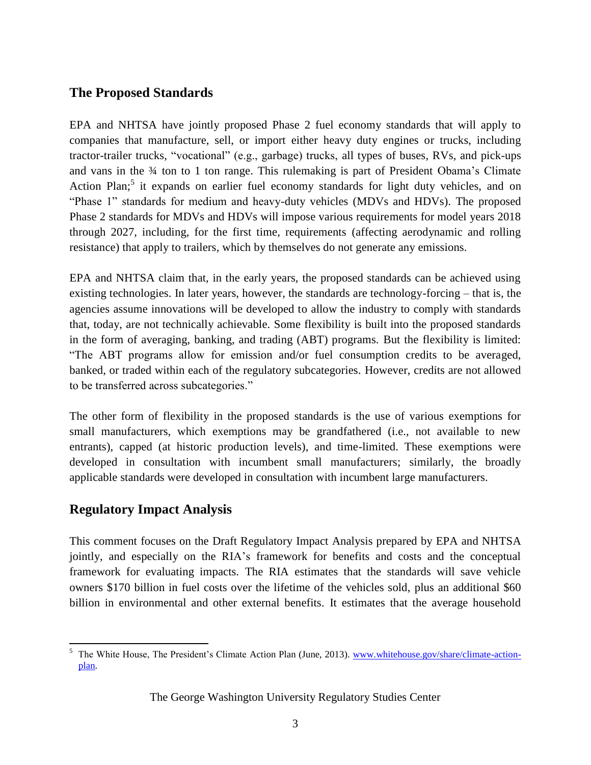# **The Proposed Standards**

EPA and NHTSA have jointly proposed Phase 2 fuel economy standards that will apply to companies that manufacture, sell, or import either heavy duty engines or trucks, including tractor-trailer trucks, "vocational" (e.g., garbage) trucks, all types of buses, RVs, and pick-ups and vans in the ¾ ton to 1 ton range. This rulemaking is part of President Obama's Climate Action Plan;<sup>5</sup> it expands on earlier fuel economy standards for light duty vehicles, and on "Phase 1" standards for medium and heavy-duty vehicles (MDVs and HDVs). The proposed Phase 2 standards for MDVs and HDVs will impose various requirements for model years 2018 through 2027, including, for the first time, requirements (affecting aerodynamic and rolling resistance) that apply to trailers, which by themselves do not generate any emissions.

EPA and NHTSA claim that, in the early years, the proposed standards can be achieved using existing technologies. In later years, however, the standards are technology-forcing – that is, the agencies assume innovations will be developed to allow the industry to comply with standards that, today, are not technically achievable. Some flexibility is built into the proposed standards in the form of averaging, banking, and trading (ABT) programs. But the flexibility is limited: "The ABT programs allow for emission and/or fuel consumption credits to be averaged, banked, or traded within each of the regulatory subcategories. However, credits are not allowed to be transferred across subcategories."

The other form of flexibility in the proposed standards is the use of various exemptions for small manufacturers, which exemptions may be grandfathered (i.e., not available to new entrants), capped (at historic production levels), and time-limited. These exemptions were developed in consultation with incumbent small manufacturers; similarly, the broadly applicable standards were developed in consultation with incumbent large manufacturers.

# **Regulatory Impact Analysis**

This comment focuses on the Draft Regulatory Impact Analysis prepared by EPA and NHTSA jointly, and especially on the RIA's framework for benefits and costs and the conceptual framework for evaluating impacts. The RIA estimates that the standards will save vehicle owners \$170 billion in fuel costs over the lifetime of the vehicles sold, plus an additional \$60 billion in environmental and other external benefits. It estimates that the average household

 $\overline{\phantom{a}}$ <sup>5</sup> The White House, The President's Climate Action Plan (June, 2013). [www.whitehouse.gov/share/climate-action](http://www.whitehouse.gov/share/climate-action-plan)[plan.](http://www.whitehouse.gov/share/climate-action-plan)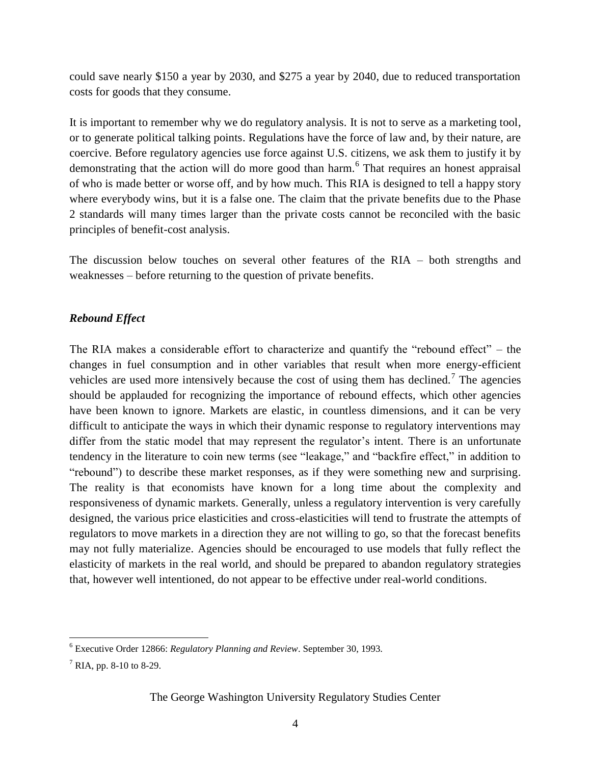could save nearly \$150 a year by 2030, and \$275 a year by 2040, due to reduced transportation costs for goods that they consume.

It is important to remember why we do regulatory analysis. It is not to serve as a marketing tool, or to generate political talking points. Regulations have the force of law and, by their nature, are coercive. Before regulatory agencies use force against U.S. citizens, we ask them to justify it by demonstrating that the action will do more good than harm.<sup>6</sup> That requires an honest appraisal of who is made better or worse off, and by how much. This RIA is designed to tell a happy story where everybody wins, but it is a false one. The claim that the private benefits due to the Phase 2 standards will many times larger than the private costs cannot be reconciled with the basic principles of benefit-cost analysis.

The discussion below touches on several other features of the RIA – both strengths and weaknesses – before returning to the question of private benefits.

#### *Rebound Effect*

The RIA makes a considerable effort to characterize and quantify the "rebound effect" – the changes in fuel consumption and in other variables that result when more energy-efficient vehicles are used more intensively because the cost of using them has declined.<sup>7</sup> The agencies should be applauded for recognizing the importance of rebound effects, which other agencies have been known to ignore. Markets are elastic, in countless dimensions, and it can be very difficult to anticipate the ways in which their dynamic response to regulatory interventions may differ from the static model that may represent the regulator's intent. There is an unfortunate tendency in the literature to coin new terms (see "leakage," and "backfire effect," in addition to "rebound") to describe these market responses, as if they were something new and surprising. The reality is that economists have known for a long time about the complexity and responsiveness of dynamic markets. Generally, unless a regulatory intervention is very carefully designed, the various price elasticities and cross-elasticities will tend to frustrate the attempts of regulators to move markets in a direction they are not willing to go, so that the forecast benefits may not fully materialize. Agencies should be encouraged to use models that fully reflect the elasticity of markets in the real world, and should be prepared to abandon regulatory strategies that, however well intentioned, do not appear to be effective under real-world conditions.

 $\overline{\phantom{a}}$ 

<sup>6</sup> Executive Order 12866: *Regulatory Planning and Review*. September 30, 1993.

 $7$  RIA, pp. 8-10 to 8-29.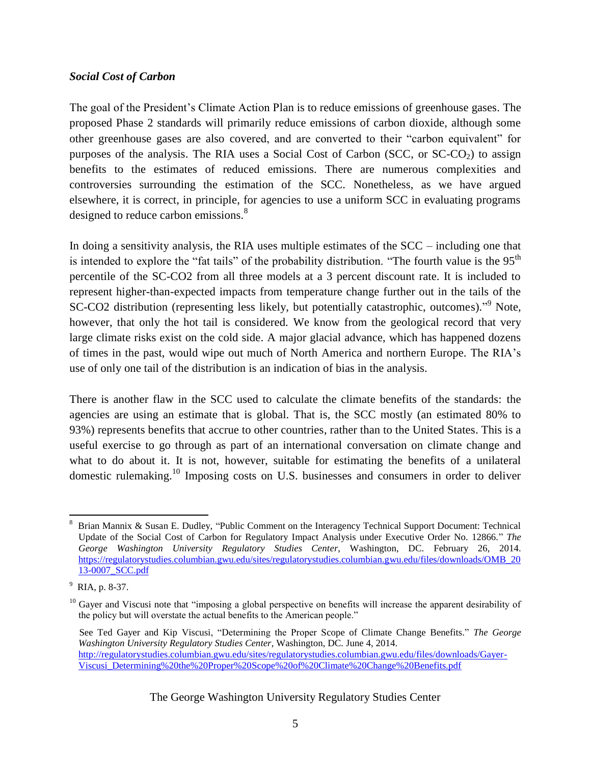#### *Social Cost of Carbon*

The goal of the President's Climate Action Plan is to reduce emissions of greenhouse gases. The proposed Phase 2 standards will primarily reduce emissions of carbon dioxide, although some other greenhouse gases are also covered, and are converted to their "carbon equivalent" for purposes of the analysis. The RIA uses a Social Cost of Carbon (SCC, or  $SC-CO<sub>2</sub>$ ) to assign benefits to the estimates of reduced emissions. There are numerous complexities and controversies surrounding the estimation of the SCC. Nonetheless, as we have argued elsewhere, it is correct, in principle, for agencies to use a uniform SCC in evaluating programs designed to reduce carbon emissions.<sup>8</sup>

In doing a sensitivity analysis, the RIA uses multiple estimates of the SCC – including one that is intended to explore the "fat tails" of the probability distribution. "The fourth value is the  $95<sup>th</sup>$ percentile of the SC-CO2 from all three models at a 3 percent discount rate. It is included to represent higher-than-expected impacts from temperature change further out in the tails of the SC-CO2 distribution (representing less likely, but potentially catastrophic, outcomes)."<sup>9</sup> Note, however, that only the hot tail is considered. We know from the geological record that very large climate risks exist on the cold side. A major glacial advance, which has happened dozens of times in the past, would wipe out much of North America and northern Europe. The RIA's use of only one tail of the distribution is an indication of bias in the analysis.

There is another flaw in the SCC used to calculate the climate benefits of the standards: the agencies are using an estimate that is global. That is, the SCC mostly (an estimated 80% to 93%) represents benefits that accrue to other countries, rather than to the United States. This is a useful exercise to go through as part of an international conversation on climate change and what to do about it. It is not, however, suitable for estimating the benefits of a unilateral domestic rulemaking.<sup>10</sup> Imposing costs on U.S. businesses and consumers in order to deliver

 $\overline{a}$ <sup>8</sup> Brian Mannix & Susan E. Dudley, "Public Comment on the Interagency Technical Support Document: Technical Update of the Social Cost of Carbon for Regulatory Impact Analysis under Executive Order No. 12866." *The George Washington University Regulatory Studies Center*, Washington, DC. February 26, 2014. [https://regulatorystudies.columbian.gwu.edu/sites/regulatorystudies.columbian.gwu.edu/files/downloads/OMB\\_20](https://regulatorystudies.columbian.gwu.edu/sites/regulatorystudies.columbian.gwu.edu/files/downloads/OMB_2013-0007_SCC.pdf) [13-0007\\_SCC.pdf](https://regulatorystudies.columbian.gwu.edu/sites/regulatorystudies.columbian.gwu.edu/files/downloads/OMB_2013-0007_SCC.pdf)

<sup>9</sup> RIA, p. 8-37.

<sup>&</sup>lt;sup>10</sup> Gayer and Viscusi note that "imposing a global perspective on benefits will increase the apparent desirability of the policy but will overstate the actual benefits to the American people."

See Ted Gayer and Kip Viscusi, "Determining the Proper Scope of Climate Change Benefits." *The George Washington University Regulatory Studies Center*, Washington, DC. June 4, 2014. [http://regulatorystudies.columbian.gwu.edu/sites/regulatorystudies.columbian.gwu.edu/files/downloads/Gayer-](http://regulatorystudies.columbian.gwu.edu/sites/regulatorystudies.columbian.gwu.edu/files/downloads/Gayer-Viscusi_Determining%20the%20Proper%20Scope%20of%20Climate%20Change%20Benefits.pdf)[Viscusi\\_Determining%20the%20Proper%20Scope%20of%20Climate%20Change%20Benefits.pdf](http://regulatorystudies.columbian.gwu.edu/sites/regulatorystudies.columbian.gwu.edu/files/downloads/Gayer-Viscusi_Determining%20the%20Proper%20Scope%20of%20Climate%20Change%20Benefits.pdf)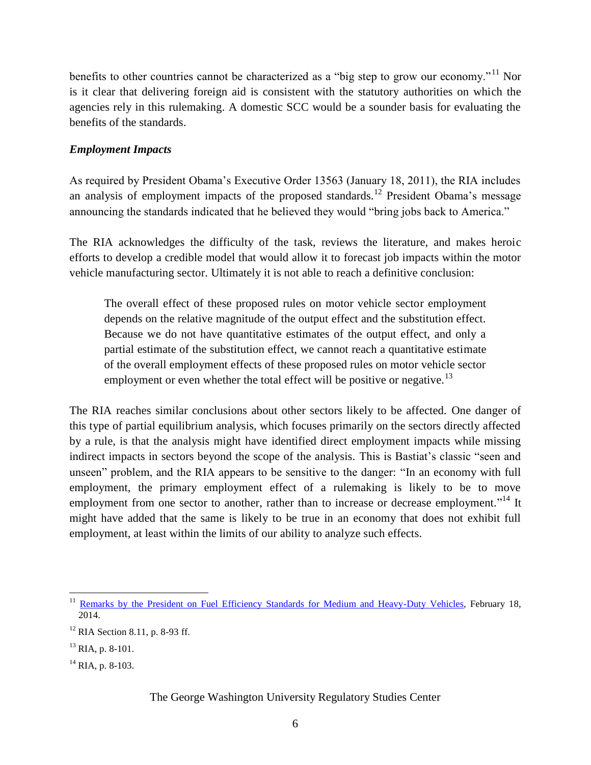benefits to other countries cannot be characterized as a "big step to grow our economy."<sup>11</sup> Nor is it clear that delivering foreign aid is consistent with the statutory authorities on which the agencies rely in this rulemaking. A domestic SCC would be a sounder basis for evaluating the benefits of the standards.

#### *Employment Impacts*

As required by President Obama's Executive Order 13563 (January 18, 2011), the RIA includes an analysis of employment impacts of the proposed standards.<sup>12</sup> President Obama's message announcing the standards indicated that he believed they would "bring jobs back to America."

The RIA acknowledges the difficulty of the task, reviews the literature, and makes heroic efforts to develop a credible model that would allow it to forecast job impacts within the motor vehicle manufacturing sector. Ultimately it is not able to reach a definitive conclusion:

The overall effect of these proposed rules on motor vehicle sector employment depends on the relative magnitude of the output effect and the substitution effect. Because we do not have quantitative estimates of the output effect, and only a partial estimate of the substitution effect, we cannot reach a quantitative estimate of the overall employment effects of these proposed rules on motor vehicle sector employment or even whether the total effect will be positive or negative.<sup>13</sup>

The RIA reaches similar conclusions about other sectors likely to be affected. One danger of this type of partial equilibrium analysis, which focuses primarily on the sectors directly affected by a rule, is that the analysis might have identified direct employment impacts while missing indirect impacts in sectors beyond the scope of the analysis. This is Bastiat's classic "seen and unseen" problem, and the RIA appears to be sensitive to the danger: "In an economy with full employment, the primary employment effect of a rulemaking is likely to be to move employment from one sector to another, rather than to increase or decrease employment."<sup>14</sup> It might have added that the same is likely to be true in an economy that does not exhibit full employment, at least within the limits of our ability to analyze such effects.

 $\overline{\phantom{a}}$ <sup>11</sup> [Remarks by the President on Fuel Efficiency Standards for Medium and Heavy-Duty Vehicles,](https://www.whitehouse.gov/the-press-office/2014/02/18/remarks-president-fuel-efficiency-standards-medium-and-heavy-duty-vehicl) February 18, 2014.

 $12$  RIA Section 8.11, p. 8-93 ff.

 $^{13}$  RIA, p. 8-101.

 $^{14}$  RIA, p. 8-103.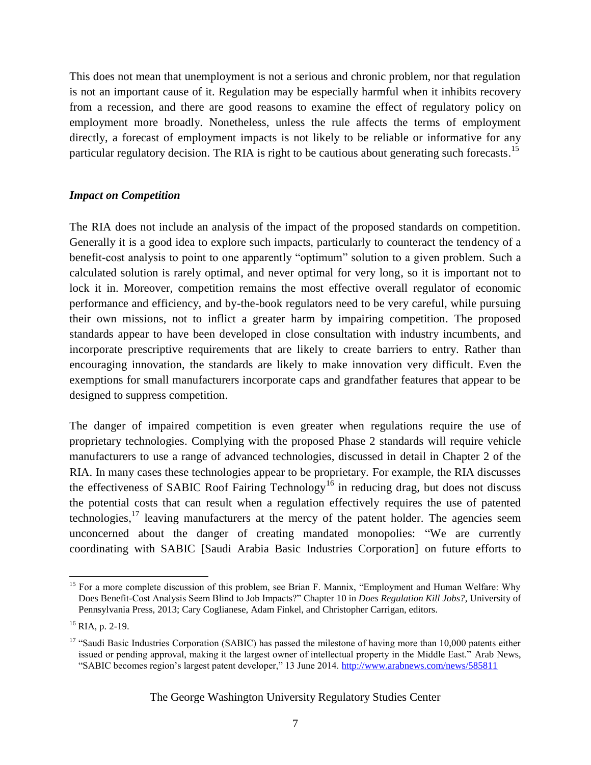This does not mean that unemployment is not a serious and chronic problem, nor that regulation is not an important cause of it. Regulation may be especially harmful when it inhibits recovery from a recession, and there are good reasons to examine the effect of regulatory policy on employment more broadly. Nonetheless, unless the rule affects the terms of employment directly, a forecast of employment impacts is not likely to be reliable or informative for any particular regulatory decision. The RIA is right to be cautious about generating such forecasts.<sup>15</sup>

#### *Impact on Competition*

The RIA does not include an analysis of the impact of the proposed standards on competition. Generally it is a good idea to explore such impacts, particularly to counteract the tendency of a benefit-cost analysis to point to one apparently "optimum" solution to a given problem. Such a calculated solution is rarely optimal, and never optimal for very long, so it is important not to lock it in. Moreover, competition remains the most effective overall regulator of economic performance and efficiency, and by-the-book regulators need to be very careful, while pursuing their own missions, not to inflict a greater harm by impairing competition. The proposed standards appear to have been developed in close consultation with industry incumbents, and incorporate prescriptive requirements that are likely to create barriers to entry. Rather than encouraging innovation, the standards are likely to make innovation very difficult. Even the exemptions for small manufacturers incorporate caps and grandfather features that appear to be designed to suppress competition.

The danger of impaired competition is even greater when regulations require the use of proprietary technologies. Complying with the proposed Phase 2 standards will require vehicle manufacturers to use a range of advanced technologies, discussed in detail in Chapter 2 of the RIA. In many cases these technologies appear to be proprietary. For example, the RIA discusses the effectiveness of SABIC Roof Fairing Technology<sup>16</sup> in reducing drag, but does not discuss the potential costs that can result when a regulation effectively requires the use of patented technologies, $17$  leaving manufacturers at the mercy of the patent holder. The agencies seem unconcerned about the danger of creating mandated monopolies: "We are currently coordinating with SABIC [Saudi Arabia Basic Industries Corporation] on future efforts to

l <sup>15</sup> For a more complete discussion of this problem, see Brian F. Mannix, "Employment and Human Welfare: Why Does Benefit-Cost Analysis Seem Blind to Job Impacts?" Chapter 10 in *Does Regulation Kill Jobs?*, University of Pennsylvania Press, 2013; Cary Coglianese, Adam Finkel, and Christopher Carrigan, editors.

 $^{16}$  RIA, p. 2-19.

<sup>&</sup>lt;sup>17</sup> "Saudi Basic Industries Corporation (SABIC) has passed the milestone of having more than 10,000 patents either issued or pending approval, making it the largest owner of intellectual property in the Middle East." Arab News, "SABIC becomes region's largest patent developer," 13 June 2014. <http://www.arabnews.com/news/585811>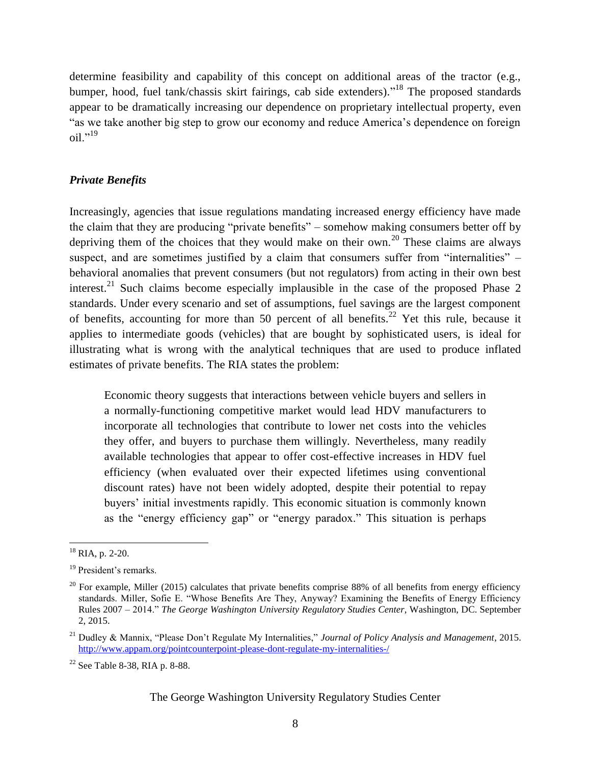determine feasibility and capability of this concept on additional areas of the tractor (e.g., bumper, hood, fuel tank/chassis skirt fairings, cab side extenders)."<sup>18</sup> The proposed standards appear to be dramatically increasing our dependence on proprietary intellectual property, even "as we take another big step to grow our economy and reduce America's dependence on foreign  $\delta$ <sup>19</sup>

#### *Private Benefits*

Increasingly, agencies that issue regulations mandating increased energy efficiency have made the claim that they are producing "private benefits" – somehow making consumers better off by depriving them of the choices that they would make on their own.<sup>20</sup> These claims are always suspect, and are sometimes justified by a claim that consumers suffer from "internalities" – behavioral anomalies that prevent consumers (but not regulators) from acting in their own best interest.<sup>21</sup> Such claims become especially implausible in the case of the proposed Phase 2 standards. Under every scenario and set of assumptions, fuel savings are the largest component of benefits, accounting for more than 50 percent of all benefits.<sup>22</sup> Yet this rule, because it applies to intermediate goods (vehicles) that are bought by sophisticated users, is ideal for illustrating what is wrong with the analytical techniques that are used to produce inflated estimates of private benefits. The RIA states the problem:

Economic theory suggests that interactions between vehicle buyers and sellers in a normally-functioning competitive market would lead HDV manufacturers to incorporate all technologies that contribute to lower net costs into the vehicles they offer, and buyers to purchase them willingly. Nevertheless, many readily available technologies that appear to offer cost-effective increases in HDV fuel efficiency (when evaluated over their expected lifetimes using conventional discount rates) have not been widely adopted, despite their potential to repay buyers' initial investments rapidly. This economic situation is commonly known as the "energy efficiency gap" or "energy paradox." This situation is perhaps

 $\overline{a}$ 

 $18$  RIA, p. 2-20.

<sup>&</sup>lt;sup>19</sup> President's remarks.

 $^{20}$  For example, Miller (2015) calculates that private benefits comprise 88% of all benefits from energy efficiency standards. Miller, Sofie E. "Whose Benefits Are They, Anyway? Examining the Benefits of Energy Efficiency Rules 2007 – 2014." *The George Washington University Regulatory Studies Center*, Washington, DC. September 2, 2015.

<sup>21</sup> Dudley & Mannix, "Please Don't Regulate My Internalities," *Journal of Policy Analysis and Management*, 2015. <http://www.appam.org/pointcounterpoint-please-dont-regulate-my-internalities-/>

<sup>22</sup> See Table 8-38, RIA p. 8-88.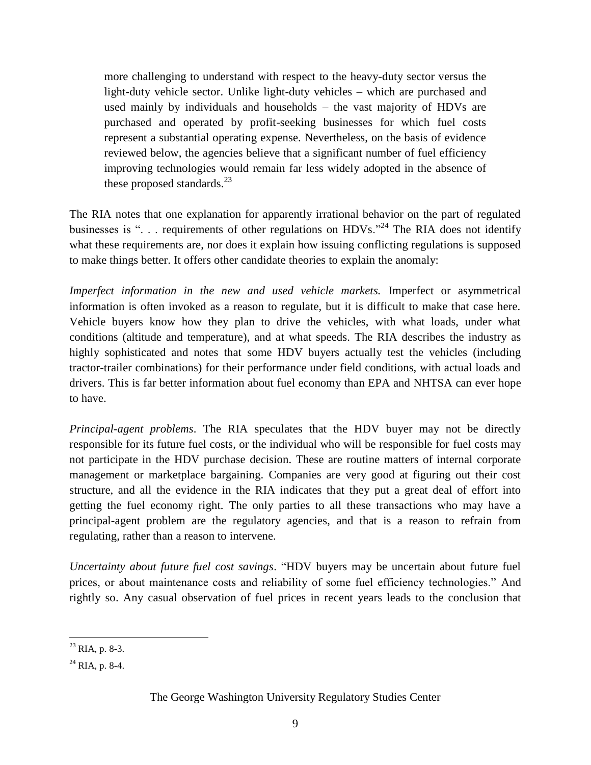more challenging to understand with respect to the heavy-duty sector versus the light-duty vehicle sector. Unlike light-duty vehicles – which are purchased and used mainly by individuals and households – the vast majority of HDVs are purchased and operated by profit-seeking businesses for which fuel costs represent a substantial operating expense. Nevertheless, on the basis of evidence reviewed below, the agencies believe that a significant number of fuel efficiency improving technologies would remain far less widely adopted in the absence of these proposed standards. $^{23}$ 

The RIA notes that one explanation for apparently irrational behavior on the part of regulated businesses is "... requirements of other regulations on HDVs."<sup>24</sup> The RIA does not identify what these requirements are, nor does it explain how issuing conflicting regulations is supposed to make things better. It offers other candidate theories to explain the anomaly:

*Imperfect information in the new and used vehicle markets.* Imperfect or asymmetrical information is often invoked as a reason to regulate, but it is difficult to make that case here. Vehicle buyers know how they plan to drive the vehicles, with what loads, under what conditions (altitude and temperature), and at what speeds. The RIA describes the industry as highly sophisticated and notes that some HDV buyers actually test the vehicles (including tractor-trailer combinations) for their performance under field conditions, with actual loads and drivers. This is far better information about fuel economy than EPA and NHTSA can ever hope to have.

*Principal-agent problems*. The RIA speculates that the HDV buyer may not be directly responsible for its future fuel costs, or the individual who will be responsible for fuel costs may not participate in the HDV purchase decision. These are routine matters of internal corporate management or marketplace bargaining. Companies are very good at figuring out their cost structure, and all the evidence in the RIA indicates that they put a great deal of effort into getting the fuel economy right. The only parties to all these transactions who may have a principal-agent problem are the regulatory agencies, and that is a reason to refrain from regulating, rather than a reason to intervene.

*Uncertainty about future fuel cost savings*. "HDV buyers may be uncertain about future fuel prices, or about maintenance costs and reliability of some fuel efficiency technologies." And rightly so. Any casual observation of fuel prices in recent years leads to the conclusion that

 $\overline{\phantom{a}}$  $^{23}$  RIA, p. 8-3.

 $^{24}$  RIA, p. 8-4.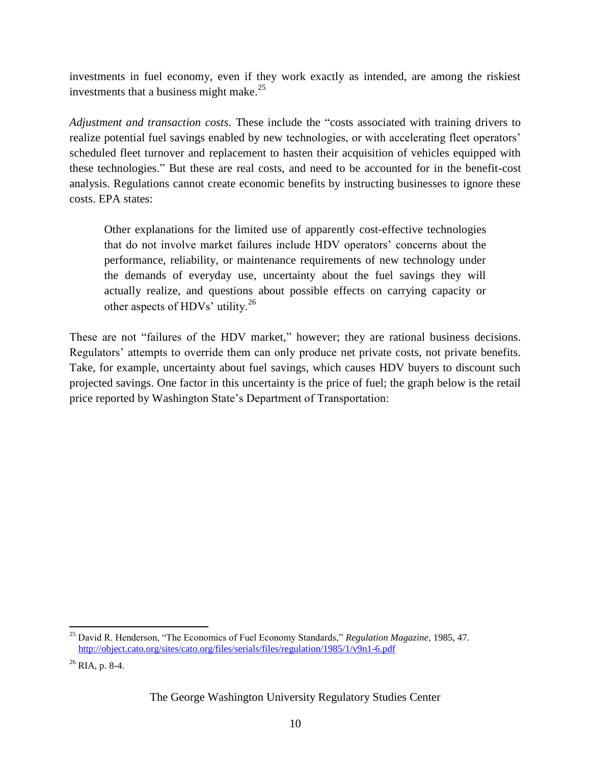investments in fuel economy, even if they work exactly as intended, are among the riskiest investments that a business might make.<sup>25</sup>

*Adjustment and transaction costs*. These include the "costs associated with training drivers to realize potential fuel savings enabled by new technologies, or with accelerating fleet operators' scheduled fleet turnover and replacement to hasten their acquisition of vehicles equipped with these technologies." But these are real costs, and need to be accounted for in the benefit-cost analysis. Regulations cannot create economic benefits by instructing businesses to ignore these costs. EPA states:

Other explanations for the limited use of apparently cost-effective technologies that do not involve market failures include HDV operators' concerns about the performance, reliability, or maintenance requirements of new technology under the demands of everyday use, uncertainty about the fuel savings they will actually realize, and questions about possible effects on carrying capacity or other aspects of HDVs' utility.<sup>26</sup>

These are not "failures of the HDV market," however; they are rational business decisions. Regulators' attempts to override them can only produce net private costs, not private benefits. Take, for example, uncertainty about fuel savings, which causes HDV buyers to discount such projected savings. One factor in this uncertainty is the price of fuel; the graph below is the retail price reported by Washington State's Department of Transportation:

l

<sup>25</sup> David R. Henderson, "The Economics of Fuel Economy Standards," *Regulation Magazine*, 1985, 47. <http://object.cato.org/sites/cato.org/files/serials/files/regulation/1985/1/v9n1-6.pdf>

 $26$  RIA, p. 8-4.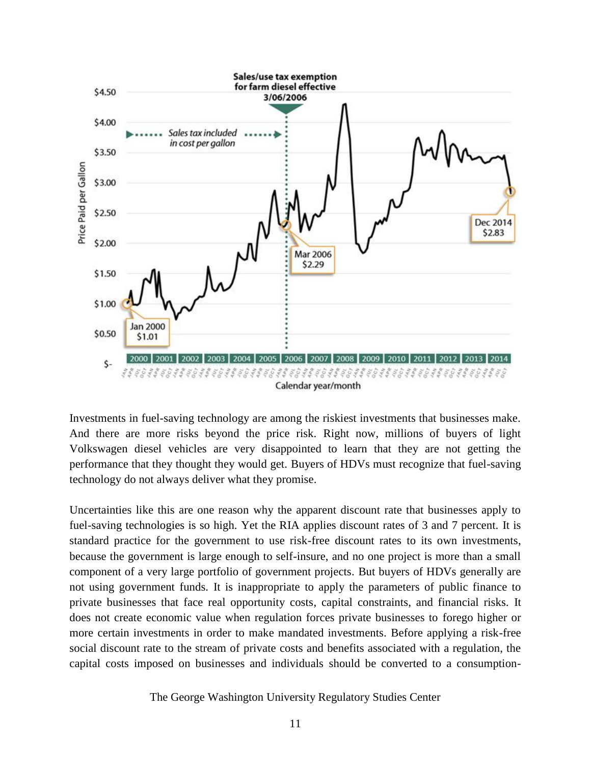

Investments in fuel-saving technology are among the riskiest investments that businesses make. And there are more risks beyond the price risk. Right now, millions of buyers of light Volkswagen diesel vehicles are very disappointed to learn that they are not getting the performance that they thought they would get. Buyers of HDVs must recognize that fuel-saving technology do not always deliver what they promise.

Uncertainties like this are one reason why the apparent discount rate that businesses apply to fuel-saving technologies is so high. Yet the RIA applies discount rates of 3 and 7 percent. It is standard practice for the government to use risk-free discount rates to its own investments, because the government is large enough to self-insure, and no one project is more than a small component of a very large portfolio of government projects. But buyers of HDVs generally are not using government funds. It is inappropriate to apply the parameters of public finance to private businesses that face real opportunity costs, capital constraints, and financial risks. It does not create economic value when regulation forces private businesses to forego higher or more certain investments in order to make mandated investments. Before applying a risk-free social discount rate to the stream of private costs and benefits associated with a regulation, the capital costs imposed on businesses and individuals should be converted to a consumption-